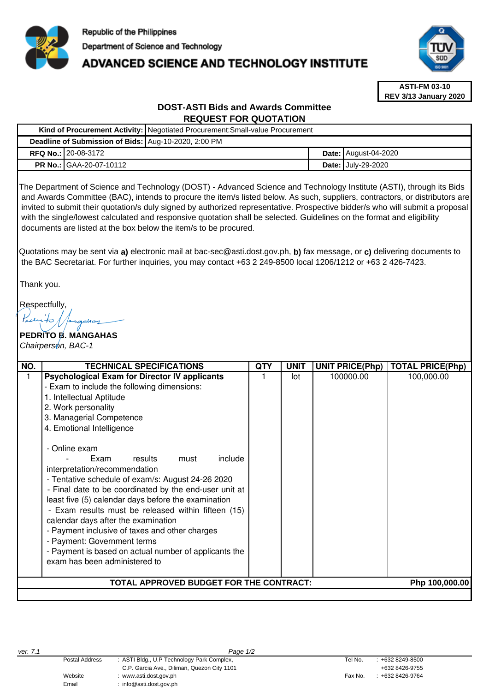

# **ADVANCED SCIENCE AND TECHNOLOGY INSTITUTE**



**ASTI-FM 03-10 REV 3/13 January 2020**

# **DOST-ASTI Bids and Awards Committee REQUEST FOR QUOTATION**

|                                                      | Kind of Procurement Activity:   Negotiated Procurement: Small-value Procurement |                             |
|------------------------------------------------------|---------------------------------------------------------------------------------|-----------------------------|
| Deadline of Submission of Bids: Aug-10-2020, 2:00 PM |                                                                                 |                             |
| <b>RFQ No.: 20-08-3172</b>                           |                                                                                 | <b>Date: August-04-2020</b> |
| <b>PR No.: GAA-20-07-10112</b>                       |                                                                                 | <b>Date: July-29-2020</b>   |

The Department of Science and Technology (DOST) - Advanced Science and Technology Institute (ASTI), through its Bids and Awards Committee (BAC), intends to procure the item/s listed below. As such, suppliers, contractors, or distributors are invited to submit their quotation/s duly signed by authorized representative. Prospective bidder/s who will submit a proposal with the single/lowest calculated and responsive quotation shall be selected. Guidelines on the format and eligibility documents are listed at the box below the item/s to be procured.

Quotations may be sent via **a)** electronic mail at bac-sec@asti.dost.gov.ph, **b)** fax message, or **c)** delivering documents to the BAC Secretariat. For further inquiries, you may contact +63 2 249-8500 local 1206/1212 or +63 2 426-7423.

Thank you.

Respectfully,

# **PEDRITO B. MANGAHAS**  Chairperson, BAC-1

| NO.                                                       | <b>TECHNICAL SPECIFICATIONS</b>                                                                                                                                                                                                                                                                                                                                                                                                                                                                                                                                                                                                                                                                                                                        | QTY | <b>UNIT</b> | <b>UNIT PRICE(Php)</b> | <b>TOTAL PRICE(Php)</b> |  |  |  |  |
|-----------------------------------------------------------|--------------------------------------------------------------------------------------------------------------------------------------------------------------------------------------------------------------------------------------------------------------------------------------------------------------------------------------------------------------------------------------------------------------------------------------------------------------------------------------------------------------------------------------------------------------------------------------------------------------------------------------------------------------------------------------------------------------------------------------------------------|-----|-------------|------------------------|-------------------------|--|--|--|--|
|                                                           | <b>Psychological Exam for Director IV applicants</b><br>- Exam to include the following dimensions:<br>1. Intellectual Aptitude<br>2. Work personality<br>3. Managerial Competence<br>4. Emotional Intelligence<br>- Online exam<br>include<br>results<br>must<br>Exam<br>interpretation/recommendation<br>- Tentative schedule of exam/s: August 24-26 2020<br>- Final date to be coordinated by the end-user unit at<br>least five (5) calendar days before the examination<br>- Exam results must be released within fifteen (15)<br>calendar days after the examination<br>- Payment inclusive of taxes and other charges<br>- Payment: Government terms<br>- Payment is based on actual number of applicants the<br>exam has been administered to |     | lot         | 100000.00              | 100,000.00              |  |  |  |  |
| TOTAL APPROVED BUDGET FOR THE CONTRACT:<br>Php 100,000.00 |                                                                                                                                                                                                                                                                                                                                                                                                                                                                                                                                                                                                                                                                                                                                                        |     |             |                        |                         |  |  |  |  |
|                                                           |                                                                                                                                                                                                                                                                                                                                                                                                                                                                                                                                                                                                                                                                                                                                                        |     |             |                        |                         |  |  |  |  |

Email : info@asti.dost.gov.ph